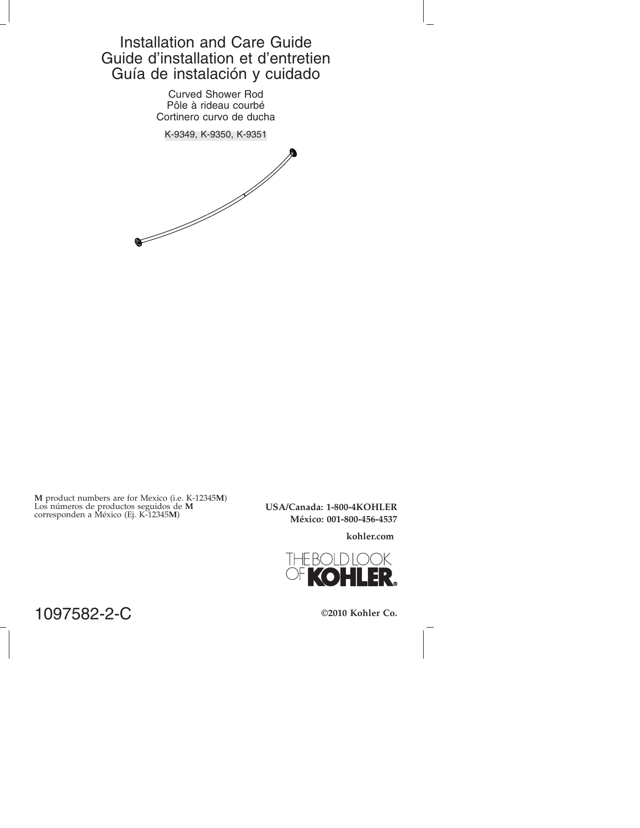# Installation and Care Guide Guide d'installation et d'entretien Guía de instalación y cuidado

Curved Shower Rod Pôle à rideau courbé Cortinero curvo de ducha

K-9349, K-9350, K-9351



**M** product numbers are for Mexico (i.e. K-12345**M**) Los números de productos seguidos de **M** corresponden a México (Ej. K-12345**M**)

**USA/Canada: 1-800-4KOHLER México: 001-800-456-4537**

**kohler.com**



1097582-2-C

**©2010 Kohler Co.**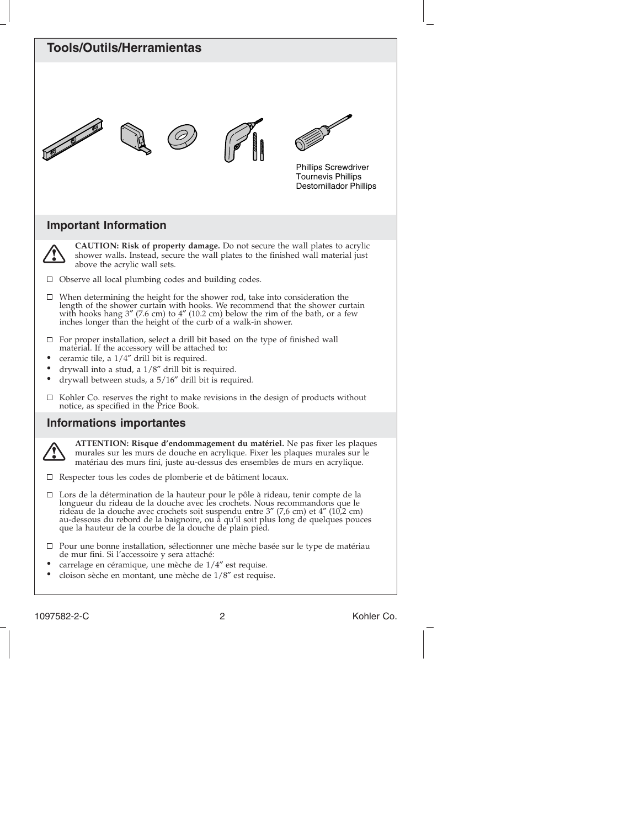

- de mur fini. Si l'accessoire y sera attaché:
- carrelage en céramique, une mèche de 1/4″ est requise.
- cloison sèche en montant, une mèche de 1/8″ est requise.

1097582-2-C 2 Kohler Co.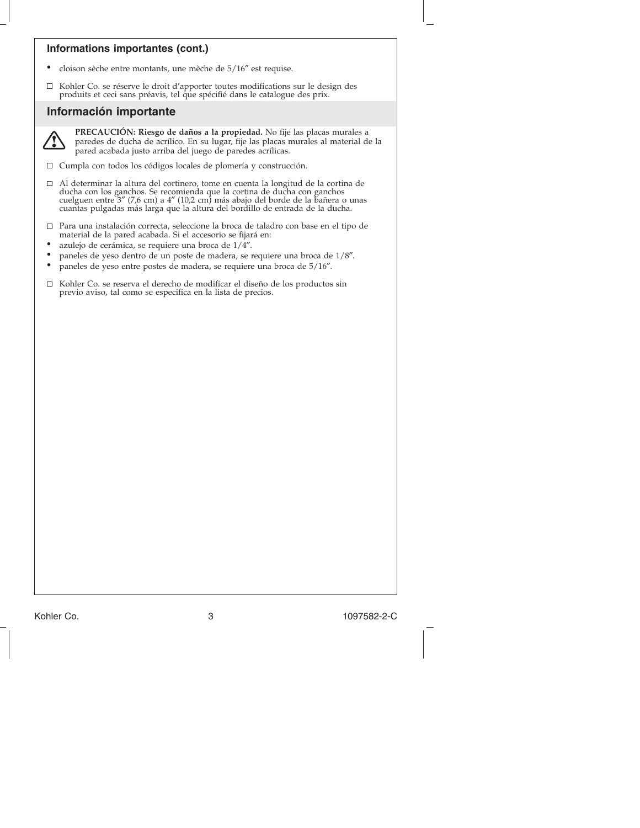## **Informations importantes (cont.)**

- cloison sèche entre montants, une mèche de 5/16″ est requise.
- $\Box$ Kohler Co. se réserve le droit d'apporter toutes modifications sur le design des produits et ceci sans préavis, tel que spécifié dans le catalogue des prix.

## **Información importante**



**PRECAUCIÓN: Riesgo de daños a la propiedad.** No fije las placas murales a paredes de ducha de acrílico. En su lugar, fije las placas murales al material de la pared acabada justo arriba del juego de paredes acrílicas.

 $\Box~$  Cumpla con todos los códigos locales de plomería y construcción.

- $\Box$ Al determinar la altura del cortinero, tome en cuenta la longitud de la cortina de<br>ducha con los ganchos. Se recomienda que la cortina de ducha con ganchos<br>cuelguen entre 3″ (7,6 cm) a 4″ (10,2 cm) más abajo del borde de l cuantas pulgadas más larga que la altura del bordillo de entrada de la ducha.
- Para una instalación correcta, seleccione la broca de taladro con base en el tipo de material de la pared acabada. Si el accesorio se fijará en:
- azulejo de cerámica, se requiere una broca de 1/4″.
- paneles de yeso dentro de un poste de madera, se requiere una broca de 1/8″.
- paneles de yeso entre postes de madera, se requiere una broca de 5/16″.
- $\Box$ Kohler Co. se reserva el derecho de modificar el diseño de los productos sin previo aviso, tal como se especifica en la lista de precios.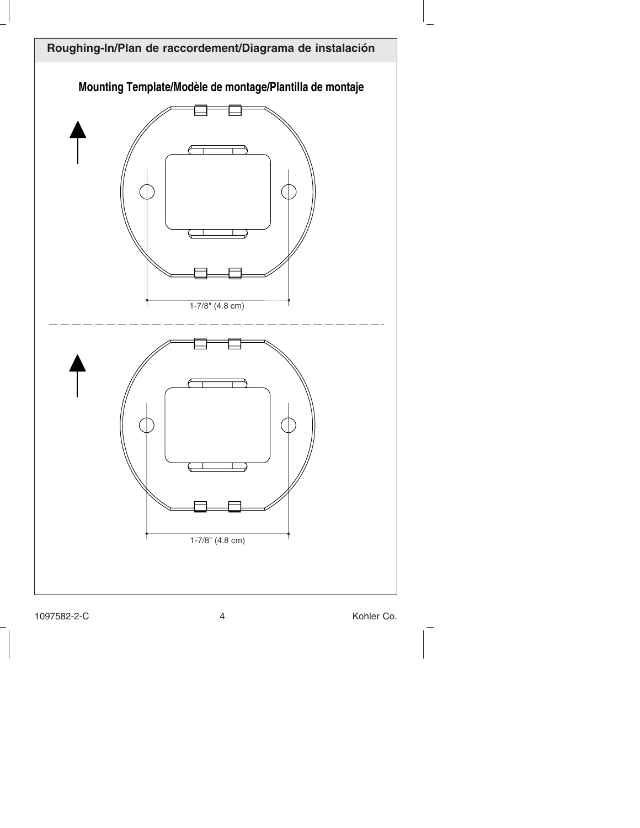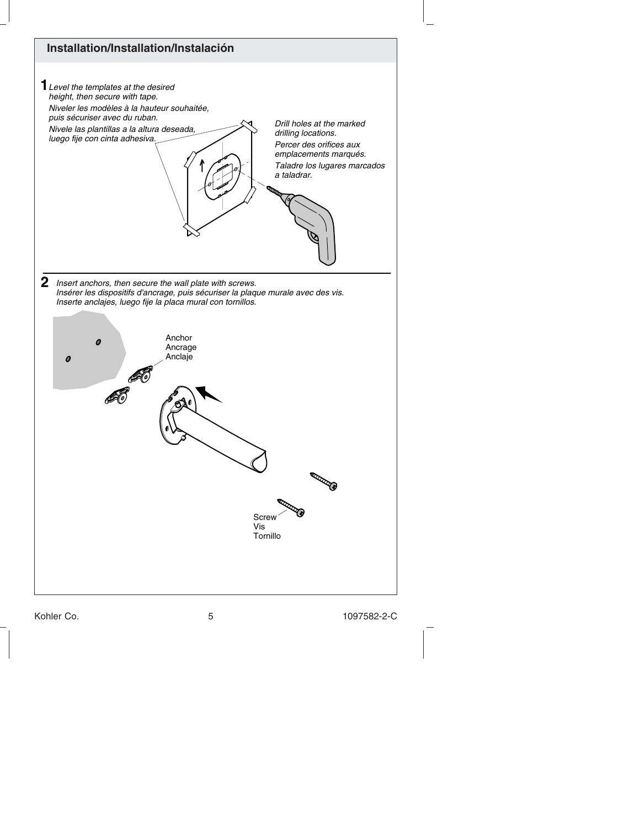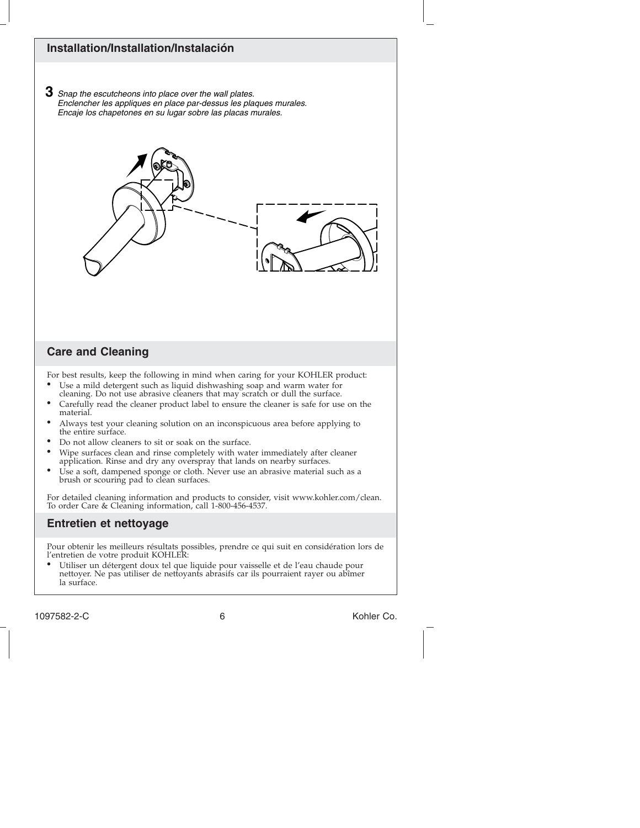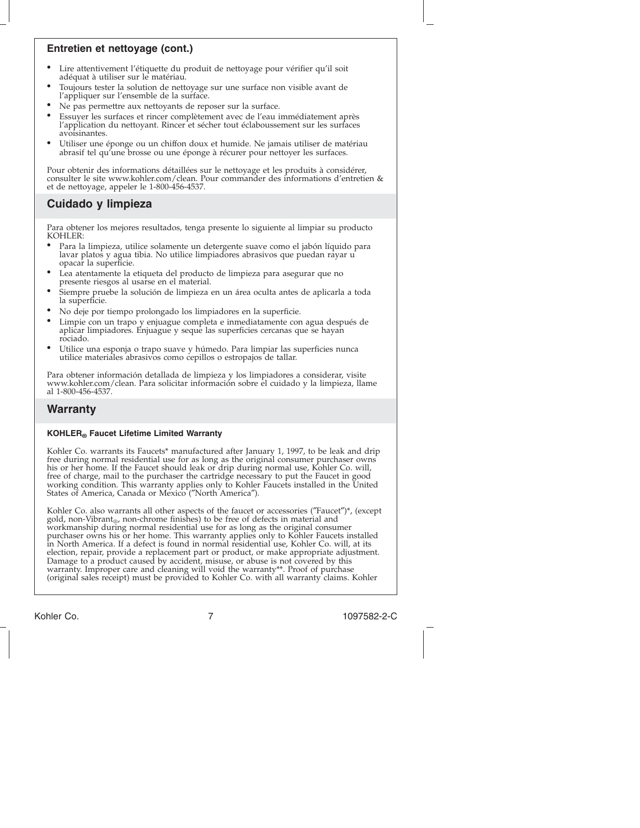## **Entretien et nettoyage (cont.)**

- Lire attentivement l'étiquette du produit de nettoyage pour vérifier qu'il soit adéquat à utiliser sur le matériau.
- Toujours tester la solution de nettoyage sur une surface non visible avant de l'appliquer sur l'ensemble de la surface.
- Ne pas permettre aux nettoyants de reposer sur la surface.
- Essuyer les surfaces et rincer complètement avec de l'eau immédiatement après l'application du nettoyant. Rincer et sécher tout éclaboussement sur les surfaces avoisinantes.
- Utiliser une éponge ou un chiffon doux et humide. Ne jamais utiliser de matériau abrasif tel qu'une brosse ou une éponge à récurer pour nettoyer les surfaces.

Pour obtenir des informations détaillées sur le nettoyage et les produits à considérer, consulter le site www.kohler.com/clean. Pour commander des informations d'entretien & et de nettoyage, appeler le 1-800-456-4537.

# **Cuidado y limpieza**

Para obtener los mejores resultados, tenga presente lo siguiente al limpiar su producto KOHLER:

- Para la limpieza, utilice solamente un detergente suave como el jabón líquido para lavar platos y agua tibia. No utilice limpiadores abrasivos que puedan rayar u opacar la superficie.
- Lea atentamente la etiqueta del producto de limpieza para asegurar que no presente riesgos al usarse en el material.
- Siempre pruebe la solución de limpieza en un área oculta antes de aplicarla a toda la superficie.
- No deje por tiempo prolongado los limpiadores en la superficie.
- Limpie con un trapo y enjuague completa e inmediatamente con agua después de aplicar limpiadores. Enjuague y seque las superficies cercanas que se hayan rociado.
- Utilice una esponja o trapo suave y húmedo. Para limpiar las superficies nunca utilice materiales abrasivos como cepillos o estropajos de tallar.

Para obtener información detallada de limpieza y los limpiadores a considerar, visite www.kohler.com/clean. Para solicitar información sobre el cuidado y la limpieza, llame al 1-800-456-4537.

# **Warranty**

#### **KOHLER® Faucet Lifetime Limited Warranty**

Kohler Co. warrants its Faucets\* manufactured after January 1, 1997, to be leak and drip free during normal residential use for as long as the original consumer purchaser owns his or her home. If the Faucet should leak or drip during normal use, Kohler Co. will, free of charge, mail to the purchaser the cartridge necessary to put the Faucet in good working condition. This warranty applies only to Kohler Faucets installed in the United States of America, Canada or Mexico (″North America″).

Kohler Co. also warrants all other aspects of the faucet or accessories (″Faucet″)\*, (except gold, non-Vibrant<sub>®</sub>, non-chrome finishes) to be free of defects in material and<br>workmanship during normal residential use for as long as the original consumer purchaser owns his or her home. This warranty applies only to Kohler Faucets installed in North America. If a defect is found in normal residential use, Kohler Co. will, at its election, repair, provide a replacement part or product, or make appropriate adjustment.<br>Damage to a product caused by accident, misuse, or abuse is not covered by this<br>warranty. Improper care and cleaning will void the wa

Kohler Co. 7 1097582-2-C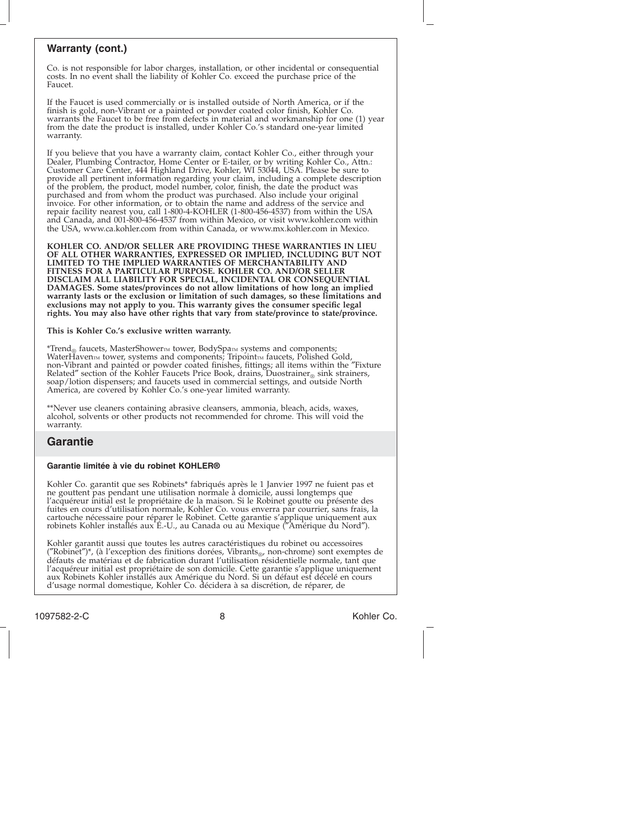#### **Warranty (cont.)**

Co. is not responsible for labor charges, installation, or other incidental or consequential costs. In no event shall the liability of Kohler Co. exceed the purchase price of the Faucet.

If the Faucet is used commercially or is installed outside of North America, or if the finish is gold, non-Vibrant or a painted or powder coated color finish, Kohler Co. warrants the Faucet to be free from defects in material and workmanship for one (1) year from the date the product is installed, under Kohler Co.'s standard one-year limited warranty.

If you believe that you have a warranty claim, contact Kohler Co., either through your Dealer, Plumbing Contractor, Home Center or E-tailer, or by writing Kohler Co., Attn.: Customer Care Center, 444 Highland Drive, Kohler, WI 53044, USA. Please be sure to provide all pertinent information regarding your claim, including a complete description of the problem, the product, model number, color, finish, the date the product was purchased and from whom the product was purchased. Also include your original invoice. For other information, or to obtain the name and address of the service and repair facility nearest you, call 1-800-4-KOHLER (1-800-456-4537) from within the USA and Canada, and 001-800-456-4537 from within Mexico, or visit www.kohler.com within the USA, www.ca.kohler.com from within Canada, or www.mx.kohler.com in Mexico.

**KOHLER CO. AND/OR SELLER ARE PROVIDING THESE WARRANTIES IN LIEU OF ALL OTHER WARRANTIES, EXPRESSED OR IMPLIED, INCLUDING BUT NOT LIMITED TO THE IMPLIED WARRANTIES OF MERCHANTABILITY AND FITNESS FOR A PARTICULAR PURPOSE. KOHLER CO. AND/OR SELLER DISCLAIM ALL LIABILITY FOR SPECIAL, INCIDENTAL OR CONSEQUENTIAL DAMAGES. Some states/provinces do not allow limitations of how long an implied warranty lasts or the exclusion or limitation of such damages, so these limitations and exclusions may not apply to you. This warranty gives the consumer specific legal rights. You may also have other rights that vary from state/province to state/province.**

**This is Kohler Co.'s exclusive written warranty.**

\*Trend<sub>®</sub> faucets, MasterShower™ tower, BodySpa™ systems and components;<br>WaterHaven™ tower, systems and components; Tripoint™ faucets, Polished Gold,<br>non-Vibrant and painted or powder coated finishes, fittings; all items Related" section of the Kohler Faucets Price Book, drains, Duostrainer® sink strainers, soap/lotion dispensers; and faucets used in commercial settings, and outside North America, are covered by Kohler Co.'s one-year limited warranty.

\*\*Never use cleaners containing abrasive cleansers, ammonia, bleach, acids, waxes, alcohol, solvents or other products not recommended for chrome. This will void the warranty.

### **Garantie**

#### **Garantie limitée à vie du robinet KOHLER®**

Kohler Co. garantit que ses Robinets\* fabriqués après le 1 Janvier 1997 ne fuient pas et ne gouttent pas pendant une utilisation normale à domicile, aussi longtemps que l'acquéreur initial est le propriétaire de la maison. Si le Robinet goutte ou présente des fuites en cours d'utilisation normale, Kohler Co. vous enverra par courrier, sans frais, la cartouche nécessaire pour réparer le Robinet. Cette garantie s'applique uniquement aux robinets Kohler installés aux É.-U., au Canada ou au Mexique (″Amérique du Nord″).

Kohler garantit aussi que toutes les autres caractéristiques du robinet ou accessoires  $("Robine't")^*$ , (à l'exception des finitions dorées, Vibrants<sub>®</sub>, non-chrome) sont exemptes de défauts de matériau et de fabrication durant l'utilisation résidentielle normale, tant que l'acquéreur initial est propriétaire de son domicile. Cette garantie s'applique uniquement aux Robinets Kohler installés aux Amérique du Nord. Si un défaut est décelé en cours d'usage normal domestique, Kohler Co. décidera à sa discrétion, de réparer, de

1097582-2-C 8 Kohler Co.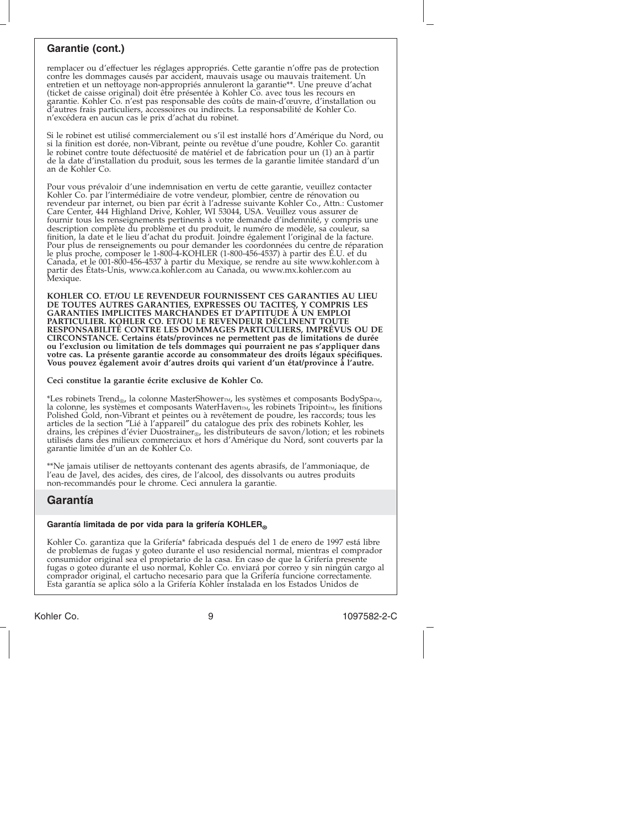#### **Garantie (cont.)**

remplacer ou d'effectuer les réglages appropriés. Cette garantie n'offre pas de protection contre les dommages causés par accident, mauvais usage ou mauvais traitement. Un entretien et un nettoyage non-appropriés annuleront la garantie\*\*. Une preuve d'achat (ticket de caisse original) doit être présentée à Kohler Co. avec tous les recours en garantie. Kohler Co. n'est pas responsable des coûts de main-d'œuvre, d'installation ou d'autres frais particuliers, accessoires ou indirects. La responsabilité de Kohler Co. n'excédera en aucun cas le prix d'achat du robinet.

Si le robinet est utilisé commercialement ou s'il est installé hors d'Amérique du Nord, ou<br>si la finition est dorée, non-Vibrant, peinte ou revêtue d'une poudre, Kohler Co. garantit<br>le robinet contre toute défectuosité de de la date d'installation du produit, sous les termes de la garantie limitée standard d'un an de Kohler Co.

Pour vous prévaloir d'une indemnisation en vertu de cette garantie, veuillez contacter Kohler Co. par l'intermédiaire de votre vendeur, plombier, centre de rénovation ou revendeur par internet, ou bien par écrit à l'adresse suivante Kohler Co., Attn.: Customer Care Center, 444 Highland Drive, Kohler, WI 53044, USA. Veuillez vous assurer de fournir tous les renseignements pertinents à votre demande d'indemnité, y compris une description complète du problème et du produit, le numéro de modèle, sa couleur, sa finition, la date et le lieu d'achat du produit. Joindre également l'original de la facture. Pour plus de renseignements ou pour demander les coordonnées du centre de réparation<br>le plus proche, composer le 1-800-4-KOHLER (1-800-456-4537) à partir des É.U. et du le plus proche, composer le 1-800-4-KOHLER (1-800-456-4537) à partir des E.U. et du<br>Canada, et le 001-800-456-4537 à partir du Mexique, se rendre au site www.kohler.com à<br>partir des États-Unis, www.ca.kohler.com au Canada,

**KOHLER CO. ET/OU LE REVENDEUR FOURNISSENT CES GARANTIES AU LIEU DE TOUTES AUTRES GARANTIES, EXPRESSES OU TACITES, Y COMPRIS LES GARANTIES IMPLICITES MARCHANDES ET D'APTITUDE À UN EMPLOI PARTICULIER. KOHLER CO. ET/OU LE REVENDEUR DÉCLINENT TOUTE RESPONSABILITÉ CONTRE LES DOMMAGES PARTICULIERS, IMPRÉVUS OU DE CIRCONSTANCE. Certains états/provinces ne permettent pas de limitations de durée ou l'exclusion ou limitation de tels dommages qui pourraient ne pas s'appliquer dans votre cas. La présente garantie accorde au consommateur des droits légaux spécifiques. Vous pouvez également avoir d'autres droits qui varient d'un état/province à l'autre.**

#### **Ceci constitue la garantie écrite exclusive de Kohler Co.**

\*Les robinets Trend<sub>®</sub>, la colonne MasterShower<sub>M</sub>, les systèmes et composants BodySpa<sub>™</sub>, la colonne, les systèmes et composants WaterHavenm, les robinets Tripointm, les finitions<br>Polished Gold, non-Vibrant et peintes ou à revêtement de poudre, les raccords; tous les<br>articles de la section "Lié à l'appareil" du drains, les crépines d'évier Duostrainer<sub>®</sub>, les distributeurs de savon/lotion; et les robinets<br>utilisés dans des milieux commerciaux et hors d'Amérique du Nord, sont couverts par la garantie limitée d'un an de Kohler Co.

\*\*Ne jamais utiliser de nettoyants contenant des agents abrasifs, de l'ammoniaque, de l'eau de Javel, des acides, des cires, de l'alcool, des dissolvants ou autres produits non-recommandés pour le chrome. Ceci annulera la garantie.

#### **Garantía**

#### Garantía limitada de por vida para la grifería KOHLER®

Kohler Co. garantiza que la Grifería\* fabricada después del 1 de enero de 1997 está libre de problemas de fugas y goteo durante el uso residencial normal, mientras el comprador consumidor original sea el propietario de la casa. En caso de que la Grifería presente fugas o goteo durante el uso normal, Kohler Co. enviará por correo y sin ningún cargo al comprador original, el cartucho necesario para que la Grifería funcione correctamente. Esta garantía se aplica sólo a la Grifería Kohler instalada en los Estados Unidos de

Kohler Co. 9 1097582-2-C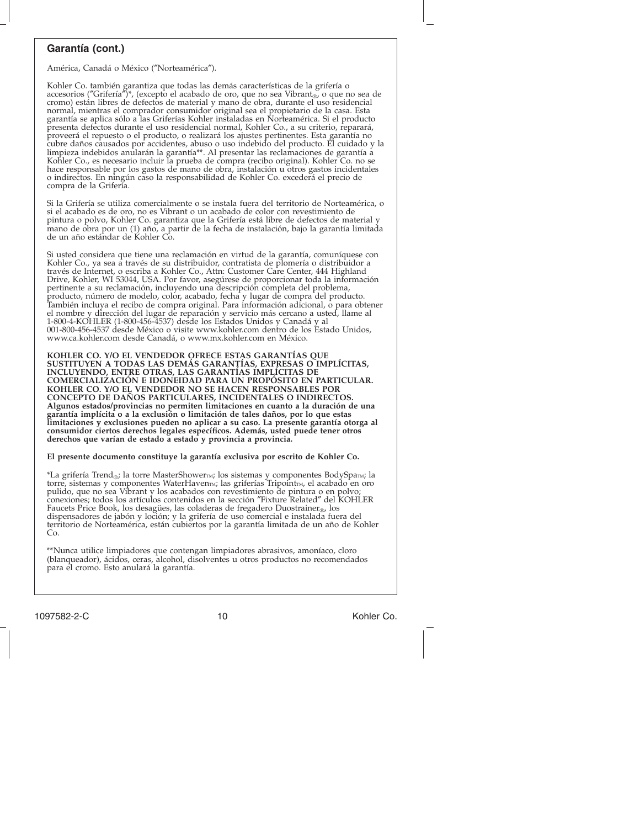#### **Garantía (cont.)**

América, Canadá o México (″Norteamérica″).

Kohler Co. también garantiza que todas las demás características de la grifería o<br>accesorios ("Grifería")\*, (excepto el acabado de oro, que no sea Vibrant<sub>®</sub>, o que no sea de<br>cromo) están libres de defectos de material y m normal, mientras el comprador consumidor original sea el propietario de la casa. Esta garantía se aplica sólo a las Griferías Kohler instaladas en Norteamérica. Si el producto presenta defectos durante el uso residencial normal, Kohler Co., a su criterio, reparará, proveerá el repuesto o el producto, o realizará los ajustes pertinentes. Esta garantía no<br>cubre daños causados por accidentes, abuso o uso indebido del producto. El cuidado y la<br>limpieza indebidos anularán la garantía\*\*. A Kohler Co., es necesario incluir la prueba de compra (recibo original). Kohler Co. no se hace responsable por los gastos de mano de obra, instalación u otros gastos incidentales o indirectos. En ningún caso la responsabilidad de Kohler Co. excederá el precio de compra de la Grifería.

Si la Grifería se utiliza comercialmente o se instala fuera del territorio de Norteamérica, o si el acabado es de oro, no es Vibrant o un acabado de color con revestimiento de pintura o polvo, Kohler Co. garantiza que la Grifería está libre de defectos de material y mano de obra por un (1) año, a partir de la fecha de instalación, bajo la garantía limitada de un año estándar de Kohler Co.

Si usted considera que tiene una reclamación en virtud de la garantía, comuníquese con Kohler Co., ya sea a través de su distribuidor, contratista de plomería o distribuidor a través de Internet, o escriba a Kohler Co., Attn: Customer Care Center, 444 Highland Drive, Kohler, WI 53044, USA. Por favor, asegúrese de proporcionar toda la información pertinente a su reclamación, incluyendo una descripción completa del problema, producto, número de modelo, color, acabado, fecha y lugar de compra del producto. También incluya el recibo de compra original. Para información adicional, o para obtener el nombre y dirección del lugar de reparación y servicio más cercano a usted, llame al 1-800-4-KOHLER (1-800-456-4537) desde los Estados Unidos y Canadá y al 001-800-456-4537 desde México o visite www.kohler.com dentro de los Estado Unidos, www.ca.kohler.com desde Canadá, o www.mx.kohler.com en México.

**KOHLER CO. Y/O EL VENDEDOR OFRECE ESTAS GARANTÍAS QUE SUSTITUYEN A TODAS LAS DEMÁS GARANTÍAS, EXPRESAS O IMPLÍCITAS, INCLUYENDO, ENTRE OTRAS, LAS GARANTÍAS IMPLÍCITAS DE COMERCIALIZACIÓN E IDONEIDAD PARA UN PROPÓSITO EN PARTICULAR. KOHLER CO. Y/O EL VENDEDOR NO SE HACEN RESPONSABLES POR CONCEPTO DE DAÑOS PARTICULARES, INCIDENTALES O INDIRECTOS. Algunos estados/provincias no permiten limitaciones en cuanto a la duración de una garantía implícita o a la exclusión o limitación de tales daños, por lo que estas limitaciones y exclusiones pueden no aplicar a su caso. La presente garantía otorga al consumidor ciertos derechos legales específicos. Además, usted puede tener otros derechos que varían de estado a estado y provincia a provincia.**

**El presente documento constituye la garantía exclusiva por escrito de Kohler Co.**

\*La grifería Trend<sub>®</sub>; la torre MasterShower<sub>IM</sub>; los sistemas y componentes BodySpa<sub>IM</sub>; la torre, sistemas y componentes WaterHaven<sub>M</sub>; las griferías Tripoint<sub>M</sub>, el acabado en oro pulido, que no sea Vibrant y los acabad Faucets Price Book, los desagües, las coladeras de fregadero Duostrainer<sub>®</sub>, los<br>dispensadores de jabón y loción; y la grifería de uso comercial e instalada fuera del territorio de Norteamérica, están cubiertos por la garantía limitada de un año de Kohler  $Co$ 

\*\*Nunca utilice limpiadores que contengan limpiadores abrasivos, amoníaco, cloro (blanqueador), ácidos, ceras, alcohol, disolventes u otros productos no recomendados para el cromo. Esto anulará la garantía.

1097582-2-C 10 10 Kohler Co.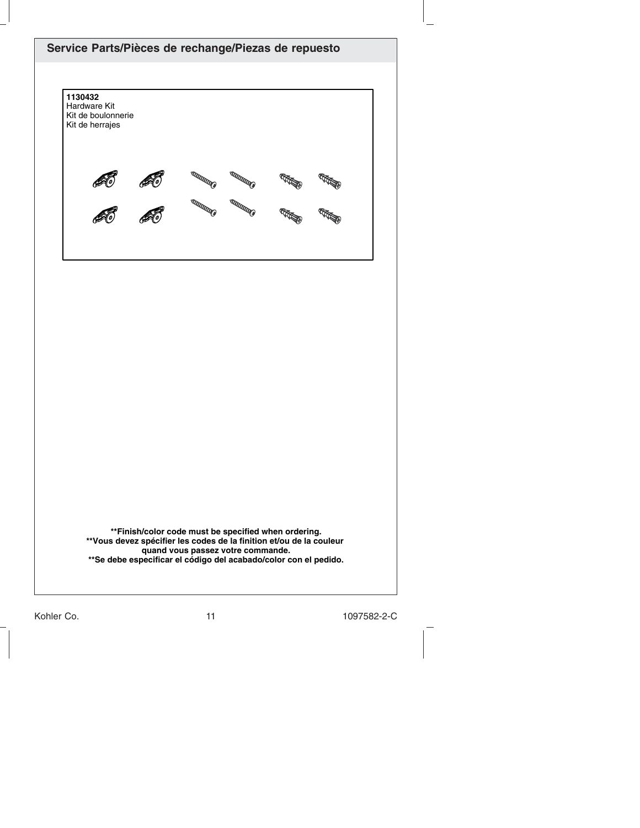